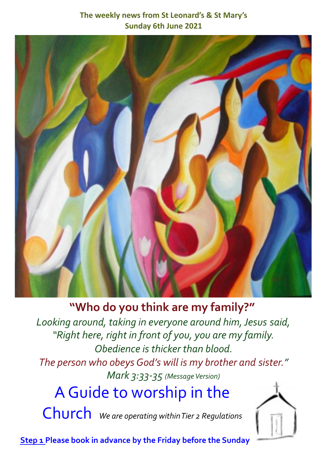#### **The weekly news from St Leonard's & St Mary's Sunday 6th June 2021**



## **"Who do you think are my family?"**

*Looking around, taking in everyone around him,Jesus said, "Right here, right in front of you, you are my family. Obedience is thicker than blood. The person who obeysGod's will is my brother and sister." Mark* 3:33-35 (Message Version)

# AGuide to worship in the

Church *We are operating withinTier <sup>2</sup> Regulations*



**Step 1 Please book in advance by the Friday before the Sunday**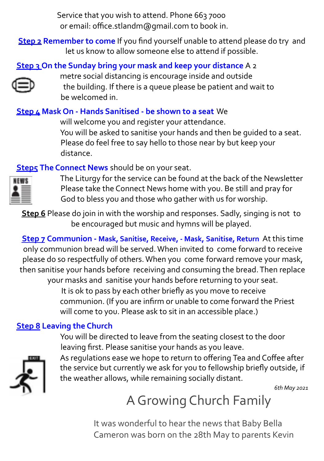Service that you wish to attend. Phone 663 7000 or email: office.stlandm@gmail.com to book in.

**Step 2 Remember to come** If you find yourself unable to attend please do try and let us know to allow someone else to attend if possible.

#### **Step 3 On the Sunday bring your mask and keep your distance** A 2



metre social distancing is encourage inside and outside the building. If there is a queue please be patient and wait to be welcomed in.

#### **Step 4 Mask On - Hands Sanitised - be shown to a seat** We

will welcome you and register your attendance. You will be asked to sanitise your hands and then be guided to a seat. Please do feel free to say hello to those near by but keep your distance.

**Step5** The Connect News should be on your seat.

The Liturgy for the service can be found at the back of the Newsletter Please take the Connect News home with you. Be still and pray for God to bless you and those who gather with us for worship.

**Step 6** Please do join in with the worship and responses. Sadly, singing is not to be encouraged but music and hymns will be played.

**Step 7 Communion - Mask, Sanitise, Receive, - Mask, Sanitise, Return** At this time only communion bread will be served.When invited to come forward to receive please do so respectfully of others.When you come forward remove your mask, then sanitise your hands before receiving and consuming the bread.Then replace your masks and sanitise your hands before returning to your seat.

It is ok to pass by each other briefly as you move to receive communion. (If you are infirm or unable to come forward the Priest will come to you. Please ask to sit in an accessible place.)

#### **Step 8 Leaving the Church**

You will be directed to leave from the seating closest to the door leaving first. Please sanitise your hands as you leave.



As regulations ease we hope to return to offering Tea and Coffee after the service but currently we ask for you to fellowship briefly outside, if the weather allows, while remaining socially distant.

*6th May 2021*

## A Growing Church Family

It was wonderful to hear the news that Baby Bella Cameron was born on the 28th May to parents Kevin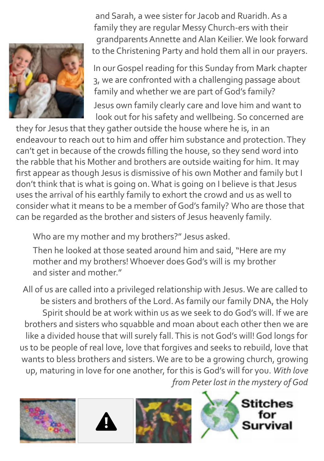

and Sarah, a wee sister for Jacob and Ruaridh. As a family they are regular Messy Church-ers with their grandparents Annette and Alan Keilier. We look forward to the Christening Party and hold them all in our prayers.

In our Gospel reading for this Sunday from Mark chapter 3, we are confronted with a challenging passage about family and whether we are part of God's family? Jesus own family clearly care and love him and want to look out for his safety and wellbeing. So concerned are

they for Jesus that they gather outside the house where he is, in an endeavour to reach out to him and offer him substance and protection. They can't get in because of the crowds filling the house, so they send word into the rabble that his Mother and brothers are outside waiting for him. It may first appear as though Jesus is dismissive of his own Mother and family but I don't think that is what is going on. What is going on I believe is that Jesus uses the arrival of his earthly family to exhort the crowd and us as well to consider what it means to be a member of God's family? Who are those that can be regarded as the brother and sisters of Jesus heavenly family.

Who are my mother and my brothers?" Jesus asked.

Then he looked at those seated around him and said, "Here are my mother and my brothers! Whoever does God's will is my brother and sister and mother."

All of us are called into a privileged relationship with Jesus. We are called to be sisters and brothers of the Lord. As family our family DNA, the Holy Spirit should be at work within us as we seek to do God's will. If we are brothers and sisters who squabble and moan about each other then we are like a divided house that will surely fall. This is not God's will! God longs for us to be people of real love, love that forgives and seeks to rebuild, love that wants to bless brothers and sisters. We are to be a growing church, growing up, maturing in love for one another, for this is God's will for you. *With love from Peter lost in the mystery of God*







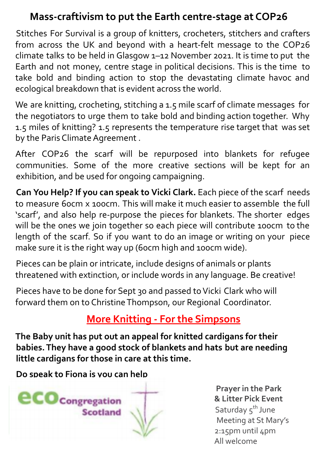### **Mass-craftivism to put the Earth centre-stage at COP26**

Stitches For Survival is a group of knitters, crocheters, stitchers and crafters from across the UK and beyond with a heart-felt message to the COP26 climate talks to be held in Glasgow 1–12 November 2021. It is time to put the Earth and not money, centre stage in political decisions. This is the time to take bold and binding action to stop the devastating climate havoc and ecological breakdown that is evident across the world.

We are knitting, crocheting, stitching a 1.5 mile scarf of climate messages for the negotiators to urge them to take bold and binding action together. Why 1.5 miles of knitting? 1.5 represents the temperature rise target that was set by the Paris Climate Agreement .

After COP26 the scarf will be repurposed into blankets for refugee communities. Some of the more creative sections will be kept for an exhibition, and be used for ongoing campaigning.

**Can You Help? If you can speak to Vicki Clark.** Each piece of the scarf needs to measure 60cm x 100cm. This will make it much easier to assemble the full 'scarf', and also help re-purpose the pieces for blankets. The shorter edges will be the ones we join together so each piece will contribute 100cm to the length of the scarf. So if you want to do an image or writing on your piece make sure it is the right way up (60cm high and 100cm wide).

Pieces can be plain or intricate, include designs of animals or plants threatened with extinction, or include words in any language. Be creative!

Pieces have to be done for Sept 30 and passed to Vicki Clark who will forward them on to Christine Thompson, our Regional Coordinator.

### **More Knitting - For the Simpsons**

**The Baby unit has put out an appeal for knitted cardigans for their babies. They have a good stock of blankets and hats but are needing little cardigans for those in care at this time.**

**Do speak to Fiona is you can help**



**Prayer in the Park & Litter Pick Event** Saturday 5<sup>th</sup> June Meeting at St Mary's 2:15pm until 4pm All welcome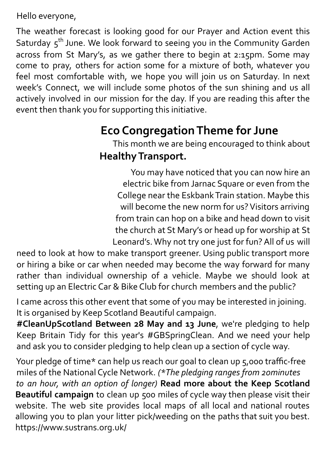Hello everyone,

The weather forecast is looking good for our Prayer and Action event this Saturday 5<sup>th</sup> June. We look forward to seeing you in the Community Garden across from St Mary's, as we gather there to begin at 2:15pm. Some may come to pray, others for action some for a mixture of both, whatever you feel most comfortable with, we hope you will join us on Saturday. In next week's Connect, we will include some photos of the sun shining and us all actively involved in our mission for the day. If you are reading this after the event then thank you for supporting this initiative.

## **Eco CongregationTheme for June**

This month we are being encouraged to think about **HealthyTransport.**

You may have noticed that you can now hire an electric bike from Jarnac Square or even from the College near the Eskbank Train station. Maybe this will become the new norm for us? Visitors arriving from train can hop on a bike and head down to visit the church at St Mary's or head up for worship at St Leonard's. Why not try one just for fun? All of us will

need to look at how to make transport greener. Using public transport more or hiring a bike or car when needed may become the way forward for many rather than individual ownership of a vehicle. Maybe we should look at setting up an Electric Car & Bike Club for church members and the public?

I came across this other event that some of you may be interested in joining. It is organised by Keep Scotland Beautiful campaign.

**#CleanUpScotland Between 28 May and 13 June**, we're pledging to help Keep Britain Tidy for this year's #GBSpringClean. And we need your help and ask you to consider pledging to help clean up a section of cycle way.

Your pledge of time\* can help us reach our goal to clean up 5,000 traffic-free miles of the National Cycle Network. *(\*The pledging ranges from 20minutes to an hour, with an option of longer)* **Read more about the Keep Scotland Beautiful campaign** to clean up 500 miles of cycle way then please visit their website. The web site provides local maps of all local and national routes allowing you to plan your litter pick/weeding on the paths that suit you best. https://www.sustrans.org.uk/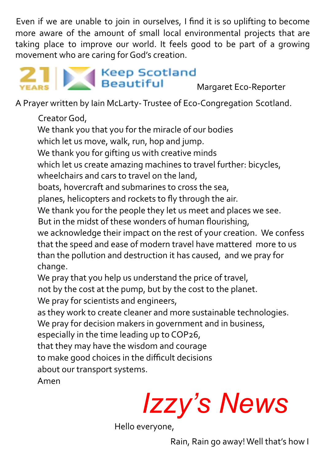Even if we are unable to join in ourselves, I find it is so uplifting to become more aware of the amount of small local environmental projects that are taking place to improve our world. It feels good to be part of a growing movement who are caring for God's creation.



A Prayer written by Iain McLarty- Trustee of Eco-Congregation Scotland.

Creator God, We thank you that you for the miracle of our bodies which let us move, walk, run, hop and jump. We thank you for gifting us with creative minds which let us create amazing machines to travel further: bicycles, wheelchairs and cars to travel on the land, boats, hovercraft and submarines to cross the sea, planes, helicopters and rockets to fly through the air. We thank you for the people they let us meet and places we see. But in the midst of these wonders of human flourishing, we acknowledge their impact on the rest of your creation. We confess that the speed and ease of modern travel have mattered more to us than the pollution and destruction it has caused, and we pray for change. We pray that you help us understand the price of travel, not by the cost at the pump, but by the cost to the planet. We pray for scientists and engineers, as they work to create cleaner and more sustainable technologies. We pray for decision makers in government and in business, especially in the time leading up to COP26, that they may have the wisdom and courage to make good choices in the difficult decisions about our transport systems. Amen

*Izzy's News*

Hello everyone,

Rain, Rain go away! Well that's how I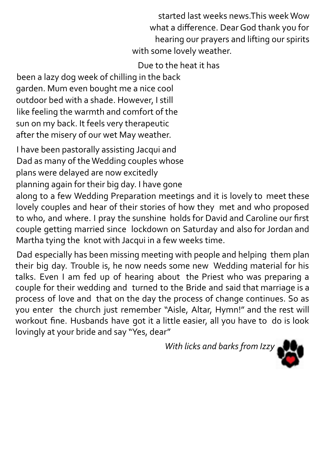started last weeks news.This week Wow what a difference. Dear God thank you for hearing our prayers and lifting our spirits with some lovely weather.

Due to the heat it has

been a lazy dog week of chilling in the back garden. Mum even bought me a nice cool outdoor bed with a shade. However, I still like feeling the warmth and comfort of the sun on my back. It feels very therapeutic after the misery of our wet May weather.

I have been pastorally assisting Jacqui and Dad as many of the Wedding couples whose plans were delayed are now excitedly

planning again for their big day. I have gone

along to a few Wedding Preparation meetings and it is lovely to meet these lovely couples and hear of their stories of how they met and who proposed to who, and where. I pray the sunshine holds for David and Caroline our first couple getting married since lockdown on Saturday and also for Jordan and Martha tying the knot with Jacqui in a few weeks time.

Dad especially has been missing meeting with people and helping them plan their big day. Trouble is, he now needs some new Wedding material for his talks. Even I am fed up of hearing about the Priest who was preparing a couple for their wedding and turned to the Bride and said that marriage is a process of love and that on the day the process of change continues. So as you enter the church just remember "Aisle, Altar, Hymn!" and the rest will workout fine. Husbands have got it a little easier, all you have to do is look lovingly at your bride and say "Yes, dear"

*With licks and barks from Izzy*

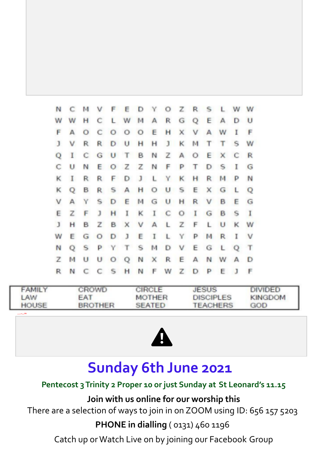| N            | C M          |         |              |   | V F E D Y O Z R S L W W   |  |               |  |     |              |          |
|--------------|--------------|---------|--------------|---|---------------------------|--|---------------|--|-----|--------------|----------|
| w            | w            | н       | C            |   | L W M A R G Q E A D U     |  |               |  |     |              |          |
| F            | А            | $\circ$ |              |   | COOOEHXVAWI               |  |               |  |     |              | F        |
| $\mathbf{J}$ | v            | R.      |              |   | R D U H H J K M T         |  |               |  | T S |              | W        |
| Q            | $\mathbf{I}$ |         |              |   | C G U T B N Z A O E X C R |  |               |  |     |              |          |
| С            | U            | N       |              |   | <b>EOZZNFPTDSI</b>        |  |               |  |     |              | G        |
| κ            | <b>I</b>     | R       | R.           |   | F D J L Y K H R M P N     |  |               |  |     |              |          |
| κ            | Q            | в       | R.           |   | SAHOUSEXG                 |  |               |  |     | $\mathsf{L}$ | $\circ$  |
| V            | A            | Y       |              |   | S D E M G U H R V B       |  |               |  |     | Е            | G        |
| Ε            | Z            | F       | $\mathbf{J}$ | н | I                         |  | K I C O I G B |  |     | <b>S</b>     | $\bf{I}$ |
| $\mathbf{J}$ | н            | в       |              |   | Z B X V A L Z F L U K W   |  |               |  |     |              |          |
| w            | Ε            |         |              |   | <b>GODJEILYPMR</b>        |  |               |  |     | I V          |          |
| N            | Q            | S       |              |   | PYTSMDVEGL                |  |               |  |     | Q T          |          |
| z            | м            | U       |              |   | U O Q N X R E A N W A D   |  |               |  |     |              |          |
| R            | N            |         |              |   | C C S H N F W Z D         |  |               |  | P E | $\mathbf{J}$ | F        |

| <b>FAMILY</b> | CROWD          | <b>CIRCLE</b> | <b>JESUS</b>     | DIVIDED        |
|---------------|----------------|---------------|------------------|----------------|
| LAW           | <b>FAT</b>     | <b>MOTHER</b> | <b>DISCIPLES</b> | <b>KINGDOM</b> |
| <b>HOUSE</b>  | <b>BROTHER</b> | <b>SEATED</b> | <b>TEACHERS</b>  | GOD            |

**<sup>u</sup> <sup>z</sup> <sup>z</sup> <sup>l</sup> <sup>e</sup> s <sup>i</sup> <sup>b</sup> lePB**



## **Sunday 6th June 2021**

#### **Pentecost 3Trinity 2 Proper 10 or just Sunday at St Leonard's 11.15**

**Join with us online for our worship this**

There are a selection of ways to join in on ZOOM using ID: 656 157 5203

#### **PHONE in dialling** ( 0131) 460 1196

Catch up or Watch Live on by joining our Facebook Group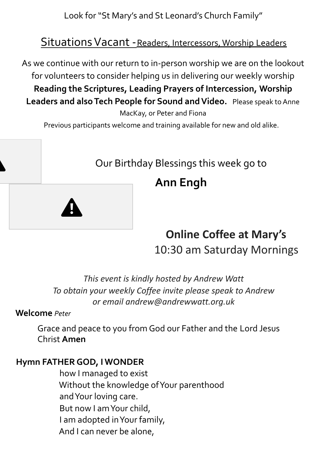Look for "St Mary's and St Leonard's Church Family"

### SituationsVacant -Readers, Intercessors, Worship Leaders

As we continue with our return to in-person worship we are on the lookout for volunteers to consider helping us in delivering our weekly worship **Reading the Scriptures, Leading Prayers of Intercession, Worship** Leaders and also Tech People for Sound and Video. Please speak to Anne

MacKay, or Peter and Fiona

Previous participants welcome and training available for new and old alike.

### Our Birthday Blessings this week go to

## **Ann Engh**

## **Online Coffee at Mary's** 10:30 am Saturday Mornings

*This event is kindly hosted by Andrew Watt To obtain your weekly Coffee invite please speak to Andrew or email andrew@andrewwatt.org.uk*

#### **Welcome** *Peter*

Grace and peace to you from God our Father and the Lord Jesus Christ **Amen**

#### **Hymn FATHER GOD, I WONDER**

how I managed to exist Without the knowledge of Your parenthood and Your loving care. But now I am Your child, I am adopted in Your family, And I can never be alone,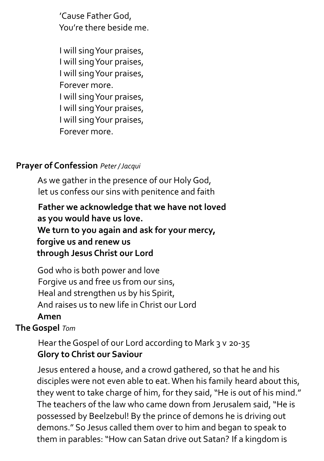'Cause Father God, You're there beside me.

I will sing Your praises, I will sing Your praises, I will sing Your praises, Forever more. I will sing Your praises, I will sing Your praises, I will sing Your praises, Forever more.

#### **Prayer of Confession** *Peter /Jacqui*

As we gather in the presence of our Holy God, let us confess our sins with penitence and faith

**Father we acknowledge that we have not loved as you would have us love. We turn to you again and ask for your mercy, forgive us and renew us through Jesus Christ our Lord**

God who is both power and love Forgive us and free us from our sins, Heal and strengthen us by his Spirit, And raises us to new life in Christ our Lord

#### **Amen**

**The Gospel** *Tom*

Hear the Gospel of our Lord according to Mark 3 v 20-35 **Glory to Christ our Saviour**

Jesus entered a house, and a crowd gathered, so that he and his disciples were not even able to eat. When his family heard about this, they went to take charge of him, for they said, "He is out of his mind." The teachers of the law who came down from Jerusalem said, "He is possessed by Beelzebul! By the prince of demons he is driving out demons." So Jesus called them over to him and began to speak to them in parables: "How can Satan drive out Satan? If a kingdom is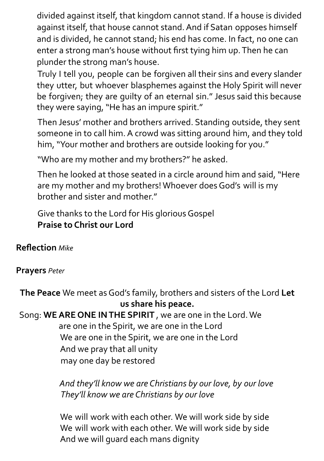divided against itself, that kingdom cannot stand. If a house is divided against itself, that house cannot stand. And if Satan opposes himself and is divided, he cannot stand; his end has come. In fact, no one can enter a strong man's house without first tying him up. Then he can plunder the strong man's house.

Truly I tell you, people can be forgiven all their sins and every slander they utter, but whoever blasphemes against the Holy Spirit will never be forgiven; they are guilty of an eternal sin." Jesus said this because they were saying, "He has an impure spirit."

Then Jesus' mother and brothers arrived. Standing outside, they sent someone in to call him. A crowd was sitting around him, and they told him, "Your mother and brothers are outside looking for you."

"Who are my mother and my brothers?" he asked.

Then he looked at those seated in a circle around him and said, "Here are my mother and my brothers! Whoever does God's will is my brother and sister and mother."

Give thanks to the Lord for His glorious Gospel **Praise to Christ our Lord**

**Reflection** *Mike*

#### **Prayers** *Peter*

**The Peace** We meet as God's family, brothers and sisters of the Lord **Let us share his peace.**

Song: **WE ARE ONE IN THE SPIRIT** , we are one in the Lord. We are one in the Spirit, we are one in the Lord We are one in the Spirit, we are one in the Lord And we pray that all unity may one day be restored

> *And they'll know we are Christians by our love, by our love They'll know we are Christians by our love*

We will work with each other. We will work side by side We will work with each other. We will work side by side And we will guard each mans dignity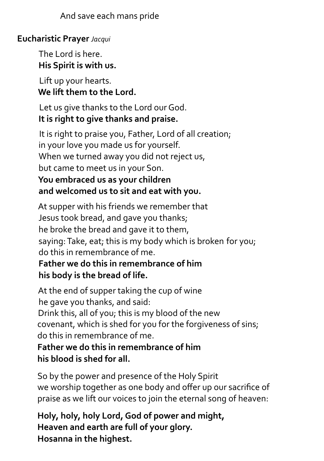And save each mans pride

#### **Eucharistic Prayer** *Jacqui*

The Lord is here. **His Spirit is with us.**

Lift up your hearts. **We lift them to the Lord.**

Let us give thanks to the Lord our God. **It is right to give thanks and praise.**

It is right to praise you, Father, Lord of all creation; in your love you made us for yourself. When we turned away you did not reject us, but came to meet us in your Son. **You embraced us as your children and welcomed us to sit and eat with you.**

At supper with his friends we remember that Jesus took bread, and gave you thanks; he broke the bread and gave it to them, saying: Take, eat; this is my body which is broken for you; do this in remembrance of me.

#### **Father we do this in remembrance of him his body is the bread of life.**

At the end of supper taking the cup of wine he gave you thanks, and said: Drink this, all of you; this is my blood of the new covenant, which is shed for you for the forgiveness of sins; do this in remembrance of me.

**Father we do this in remembrance of him his blood is shed for all.**

So by the power and presence of the Holy Spirit we worship together as one body and offer up our sacrifice of praise as we lift our voices to join the eternal song of heaven:

**Holy, holy, holy Lord, God of power and might, Heaven and earth are full of your glory. Hosanna in the highest.**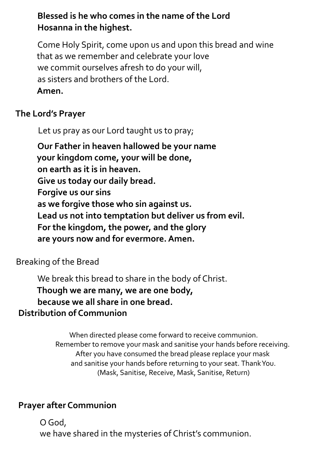#### **Blessed is he who comes in the name of the Lord Hosanna in the highest.**

Come Holy Spirit, come upon us and upon this bread and wine that as we remember and celebrate your love we commit ourselves afresh to do your will, as sisters and brothers of the Lord. **Amen.**

#### **The Lord's Prayer**

Let us pray as our Lord taught us to pray;

**Our Father in heaven hallowed be your name your kingdom come, your will be done, on earth as it is in heaven. Give us today our daily bread. Forgive us our sins as we forgive those who sin against us. Lead us not into temptation but deliver us from evil. For the kingdom, the power, and the glory are yours now and for evermore. Amen.**

#### Breaking of the Bread

We break this bread to share in the body of Christ. **Though we are many, we are one body, because we all share in one bread. Distribution of Communion**

> When directed please come forward to receive communion. Remember to remove your mask and sanitise your hands before receiving. After you have consumed the bread please replace your mask and sanitise your hands before returning to your seat. ThankYou. (Mask, Sanitise, Receive, Mask, Sanitise, Return)

#### **Prayer after Communion**

O God, we have shared in the mysteries of Christ's communion.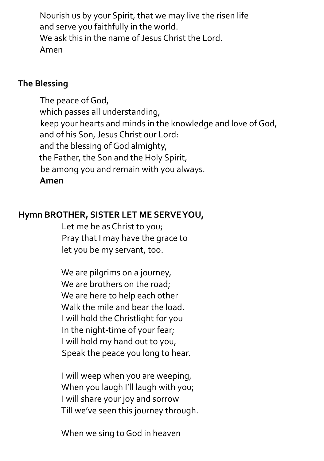Nourish us by your Spirit, that we may live the risen life and serve you faithfully in the world. We ask this in the name of Jesus Christ the Lord. Amen

#### **The Blessing**

The peace of God, which passes all understanding, keep your hearts and minds in the knowledge and love of God, and of his Son, Jesus Christ our Lord: and the blessing of God almighty, the Father, the Son and the Holy Spirit, be among you and remain with you always. **Amen**

#### **Hymn BROTHER, SISTER LET ME SERVE YOU,**

Let me be as Christ to you; Pray that I may have the grace to let you be my servant, too.

We are pilgrims on a journey, We are brothers on the road; We are here to help each other Walk the mile and bear the load. I will hold the Christlight for you In the night-time of your fear; I will hold my hand out to you, Speak the peace you long to hear.

I will weep when you are weeping, When you laugh I'll laugh with you; I will share your joy and sorrow Till we've seen this journey through.

When we sing to God in heaven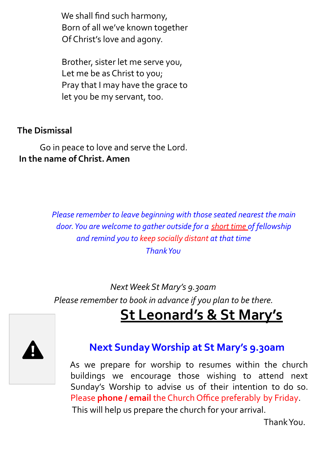We shall find such harmony, Born of all we've known together Of Christ's love and agony.

Brother, sister let me serve you, Let me be as Christ to you; Pray that I may have the grace to let you be my servant, too.

#### **The Dismissal**

Go in peace to love and serve the Lord. **In the name of Christ. Amen**

> *Please remember to leave beginning with those seated nearest the main door.You are welcome to gather outside for a short time of fellowship and remind you to keep socially distant at that time ThankYou*

*Next Week St Mary's 9.30am Please remember to book in advance if you plan to be there.*

## **St Leonard's & St Mary's**



#### **Next Sunday Worship at St Mary's 9.30am**

As we prepare for worship to resumes within the church buildings we encourage those wishing to attend next Sunday's Worship to advise us of their intention to do so. Please **phone / email** the Church Office preferably by Friday. This will help us prepare the church for your arrival.

Thank You.